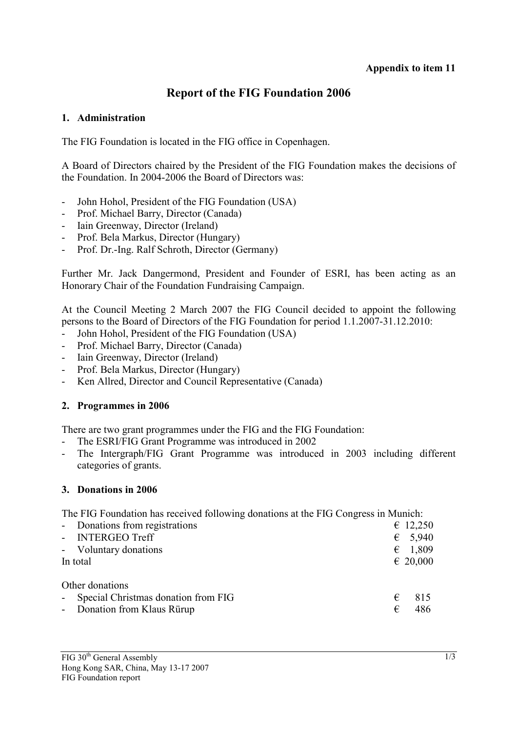### **Report of the FIG Foundation 2006**

#### **1. Administration**

The FIG Foundation is located in the FIG office in Copenhagen.

A Board of Directors chaired by the President of the FIG Foundation makes the decisions of the Foundation. In 2004-2006 the Board of Directors was:

- John Hohol, President of the FIG Foundation (USA)
- Prof. Michael Barry, Director (Canada)
- Iain Greenway, Director (Ireland)
- Prof. Bela Markus, Director (Hungary)
- Prof. Dr.-Ing. Ralf Schroth, Director (Germany)

Further Mr. Jack Dangermond, President and Founder of ESRI, has been acting as an Honorary Chair of the Foundation Fundraising Campaign.

At the Council Meeting 2 March 2007 the FIG Council decided to appoint the following persons to the Board of Directors of the FIG Foundation for period 1.1.2007-31.12.2010:

- John Hohol, President of the FIG Foundation (USA)
- Prof. Michael Barry, Director (Canada)
- Iain Greenway, Director (Ireland)
- Prof. Bela Markus, Director (Hungary)
- Ken Allred, Director and Council Representative (Canada)

#### **2. Programmes in 2006**

There are two grant programmes under the FIG and the FIG Foundation:

- The ESRI/FIG Grant Programme was introduced in 2002
- The Intergraph/FIG Grant Programme was introduced in 2003 including different categories of grants.

#### **3. Donations in 2006**

The FIG Foundation has received following donations at the FIG Congress in Munich:

| - Donations from registrations        | $\epsilon$ 12,250 |
|---------------------------------------|-------------------|
| - INTERGEO Treff                      | $\epsilon$ 5,940  |
| - Voluntary donations                 | $\epsilon$ 1,809  |
| In total                              | $\epsilon$ 20,000 |
| Other donations                       |                   |
| - Special Christmas donation from FIG | €<br>815          |
| - Donation from Klaus Rürup           | 486<br>€          |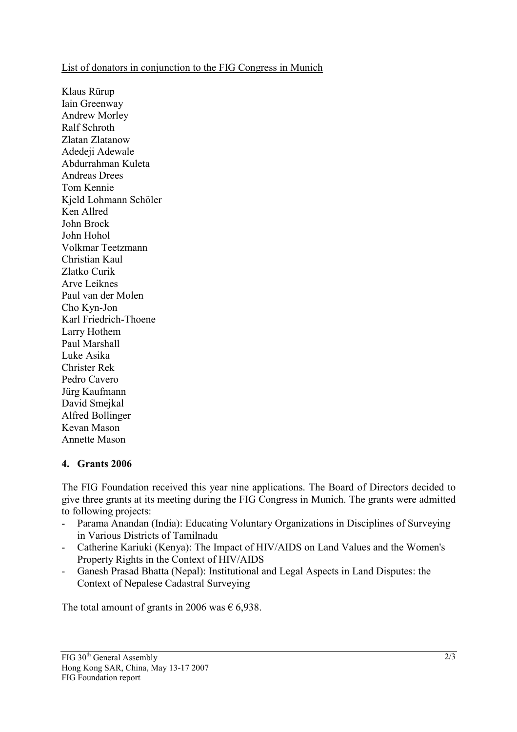#### List of donators in conjunction to the FIG Congress in Munich

Klaus Rürup Iain Greenway Andrew Morley Ralf Schroth Zlatan Zlatanow Adedeji Adewale Abdurrahman Kuleta Andreas Drees Tom Kennie Kjeld Lohmann Schöler Ken Allred John Brock John Hohol Volkmar Teetzmann Christian Kaul Zlatko Curik Arve Leiknes Paul van der Molen Cho Kyn-Jon Karl Friedrich-Thoene Larry Hothem Paul Marshall Luke Asika Christer Rek Pedro Cavero Jürg Kaufmann David Smejkal Alfred Bollinger Kevan Mason Annette Mason

#### **4. Grants 2006**

The FIG Foundation received this year nine applications. The Board of Directors decided to give three grants at its meeting during the FIG Congress in Munich. The grants were admitted to following projects:

- Parama Anandan (India): Educating Voluntary Organizations in Disciplines of Surveying in Various Districts of Tamilnadu
- Catherine Kariuki (Kenya): The Impact of HIV/AIDS on Land Values and the Women's Property Rights in the Context of HIV/AIDS
- Ganesh Prasad Bhatta (Nepal): Institutional and Legal Aspects in Land Disputes: the Context of Nepalese Cadastral Surveying

The total amount of grants in 2006 was  $\epsilon$  6,938.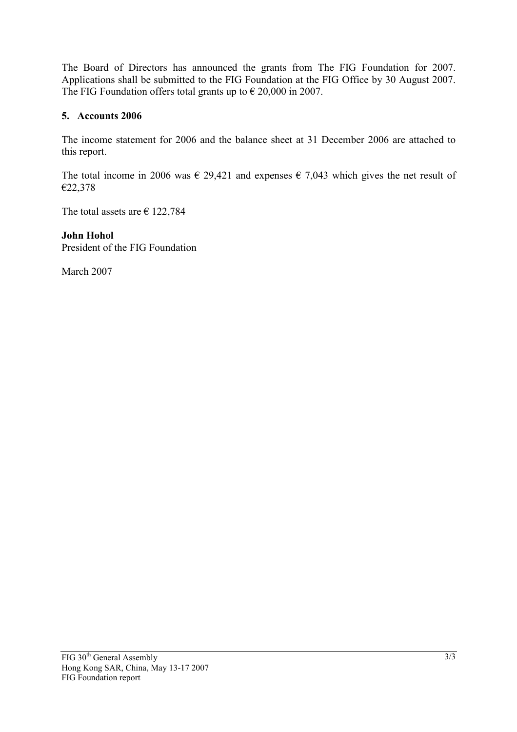The Board of Directors has announced the grants from The FIG Foundation for 2007. Applications shall be submitted to the FIG Foundation at the FIG Office by 30 August 2007. The FIG Foundation offers total grants up to  $\epsilon$  20,000 in 2007.

#### **5. Accounts 2006**

The income statement for 2006 and the balance sheet at 31 December 2006 are attached to this report.

The total income in 2006 was  $\epsilon$  29,421 and expenses  $\epsilon$  7,043 which gives the net result of €22,378

The total assets are  $\epsilon$  122,784

**John Hohol**  President of the FIG Foundation

March 2007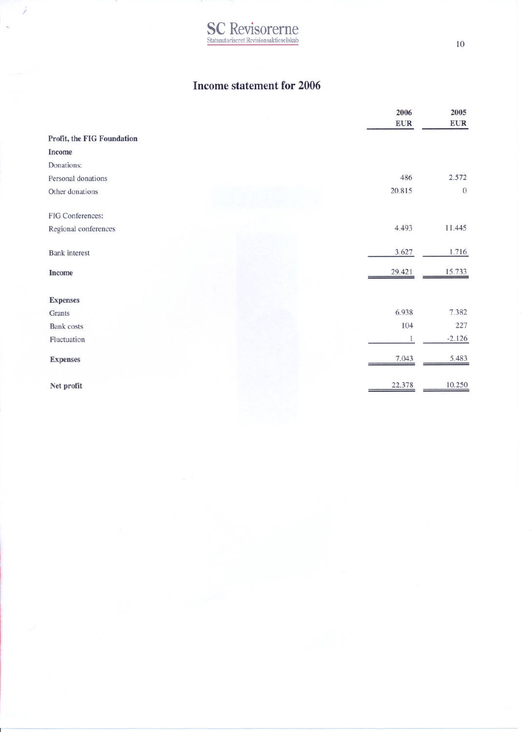# **SC** Revisorerne

#### **Income statement for 2006**

|                            | 2006       | 2005         |
|----------------------------|------------|--------------|
|                            | <b>EUR</b> | <b>EUR</b>   |
| Profit, the FIG Foundation |            |              |
| <b>Income</b>              |            |              |
| Donations:                 |            |              |
| Personal donations         | 486        | 2.572        |
| Other donations            | 20.815     | $\mathbf{0}$ |
| FIG Conferences:           |            |              |
| Regional conferences       | 4.493      | 11.445       |
| <b>Bank</b> interest       | 3.627      | 1.716        |
| <b>Income</b>              | 29.421     | 15.733       |
| <b>Expenses</b>            |            |              |
| Grants                     | 6.938      | 7.382        |
| <b>Bank</b> costs          | 104        | 227          |
| Fluctuation                | 1          | $-2.126$     |
| <b>Expenses</b>            | 7.043      | 5.483        |
| Net profit                 | 22.378     | 10.250       |

 $10\,$